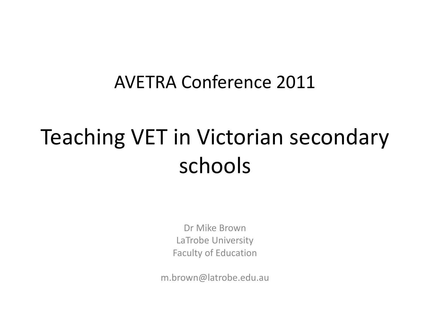#### AVETRA Conference 2011

## Teaching VET in Victorian secondary schools

Dr Mike Brown LaTrobe University Faculty of Education

m.brown@latrobe.edu.au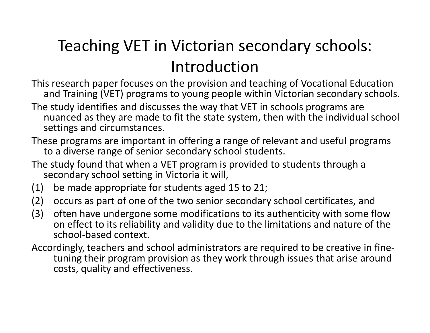#### Teaching VET in Victorian secondary schools: Introduction

- This research paper focuses on the provision and teaching of Vocational Education and Training (VET) programs to young people within Victorian secondary schools.
- The study identifies and discusses the way that VET in schools programs are nuanced as they are made to fit the state system, then with the individual school settings and circumstances.
- These programs are important in offering a range of relevant and useful programs to a diverse range of senior secondary school students.
- The study found that when a VET program is provided to students through a secondary school setting in Victoria it will,
- (1) be made appropriate for students aged 15 to 21;
- (2) occurs as part of one of the two senior secondary school certificates, and
- (3) often have undergone some modifications to its authenticity with some flow on effect to its reliability and validity due to the limitations and nature of the school-based context.
- Accordingly, teachers and school administrators are required to be creative in finetuning their program provision as they work through issues that arise around costs, quality and effectiveness.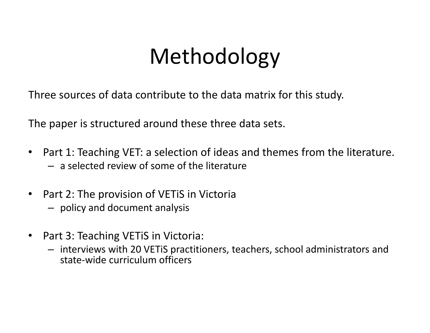### Methodology

Three sources of data contribute to the data matrix for this study.

The paper is structured around these three data sets.

- • Part 1: Teaching VET: a selection of ideas and themes from the literature. – a selected review of some of the literature
- • Part 2: The provision of VETiS in Victoria
	- policy and document analysis
- • Part 3: Teaching VETiS in Victoria:
	- interviews with 20 VETiS practitioners, teachers, school administrators and state-wide curriculum officers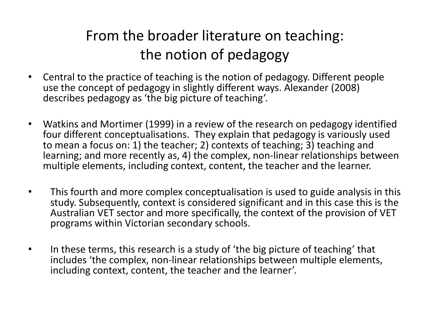#### From the broader literature on teaching: the notion of pedagogy

- • Central to the practice of teaching is the notion of pedagogy. Different people use the concept of pedagogy in slightly different ways. Alexander (2008) describes pedagogy as 'the big picture of teaching'.
- • Watkins and Mortimer (1999) in a review of the research on pedagogy identified four different conceptualisations. They explain that pedagogy is variously used to mean a focus on: 1) the teacher; 2) contexts of teaching; 3) teaching and learning; and more recently as, 4) the complex, non-linear relationships between multiple elements, including context, content, the teacher and the learner.
- • This fourth and more complex conceptualisation is used to guide analysis in this study. Subsequently, context is considered significant and in this case this is the Australian VET sector and more specifically, the context of the provision of VET programs within Victorian secondary schools.
- • In these terms, this research is a study of 'the big picture of teaching' that includes 'the complex, non-linear relationships between multiple elements, including context, content, the teacher and the learner'.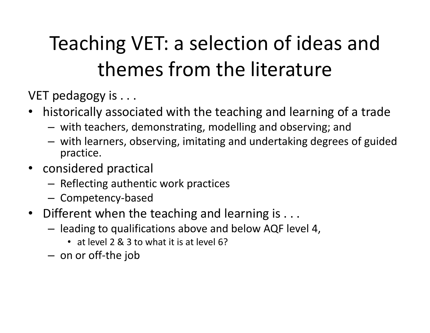### Teaching VET: a selection of ideas and themes from the literature

VET pedagogy is . . .

- historically associated with the teaching and learning of a trade
	- –with teachers, demonstrating, modelling and observing; an d
	- – with learners, observing, imitating and undertaking degrees of guided practice.
- considered practical
	- –- Reflecting authentic work practices
	- – $-$  Competency-based
- Different when the teaching and learning is . . .
	- – leading to qualifications above and below AQF level 4,
		- at level 2 & 3 to what it is at level 6?
	- – $-$  on or off-the job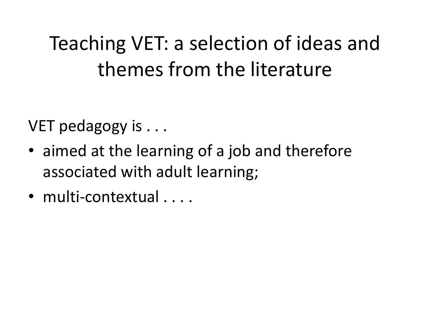#### Teaching VET: a selection of ideas and themes from the literature

VET pedagogy is . . .

- aimed at the learning of a job and therefore associated with adult learning;
- multi-contextual . . . .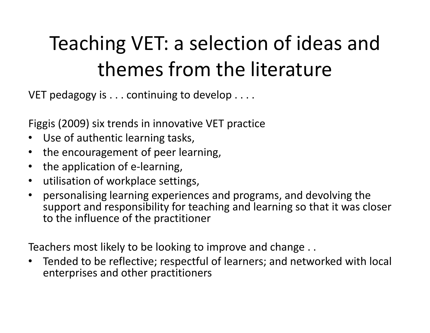#### Teaching VET: a selection of ideas and themes from the literature

VET pedagogy is . . . continuing to develop . . . .

Figgis (2009) six trends in innovative VET practice

- •Use of authentic learning tasks,
- the encouragement of peer learning,
- the application of e-learning,
- utilisation of workplace settings,
- • personalising learning experiences and programs, and devolving the support and responsibility for teaching and learning so that it was closer to the influence of the practitioner

Teachers most likely to be looking to improve and change . .

• Tended to be reflective; respectful of learners; and networked with local enterprises and other practitioners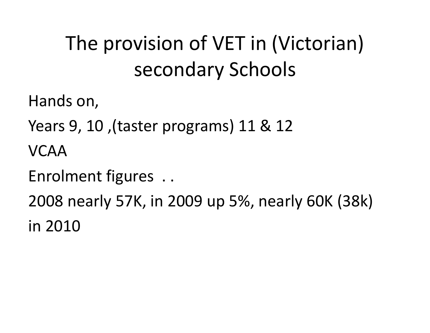### The provision of VET in (Victorian) secondary Schools

Hands on,

Years 9, 10 ,(taster programs) 11 & 12

VCAA

Enrolment figures . .

2008 nearly 57K, in 2009 up 5%, nearly 60K (38k)in 2010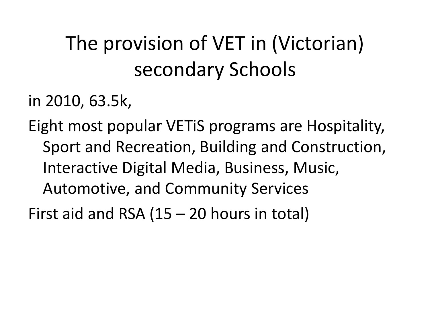### The provision of VET in (Victorian) secondary Schools

in 2010, 63.5k,

Eight most popular VETiS programs are Hospitality, Sport and Recreation, Building and Construction, Interactive Digital Media, Business, Music, Automotive, and Community Services

First aid and RSA (15 – 20 hours in total)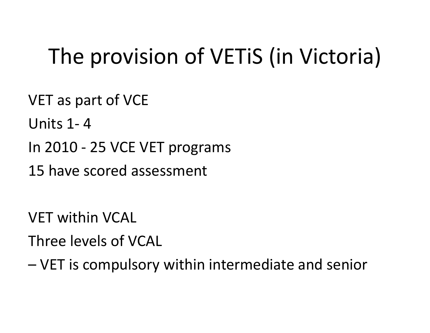## The provision of VETiS (in Victoria)

VET as part of VCE

Units 1- <sup>4</sup>

In 2010 - 25 VCE VET programs

15 have scored assessment

VET within VCAL

Three levels of VCAL

–VET is compulsory within intermediate and senior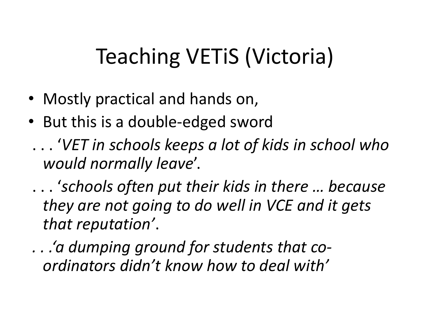- Mostly practical and hands on,
- But this is a double-edged sword
- . . . 'VET in schools keeps a lot of kids in school who would normally leave'.

. . . 'schools often put their kids in there … because they are not going to do well in VCE and it gets that reputation'.

. . .'a dumping ground for students that coordinators didn't know how to deal with'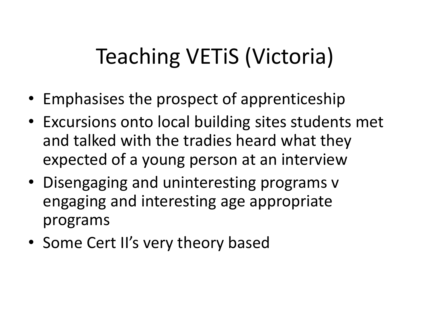- Emphasises the prospect of apprenticeship
- Excursions onto local building sites students met and talked with the tradies heard what they expected of a young person at an interview
- Disengaging and uninteresting programs v engaging and interesting age appropriate programs
- Some Cert II's very theory based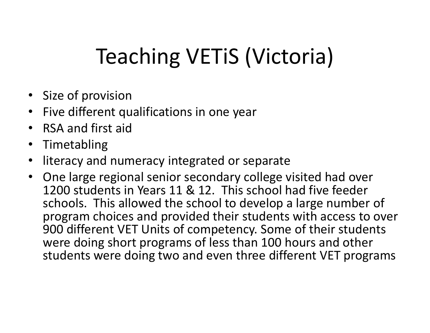- Size of provision
- Five different qualifications in one year •
- RSA and first aid
- •Timetabling
- •literacy and numeracy integrated or separate
- One large regional senior secondary college visited had over 1200 students in Years 11 & 12. This school had five feeder schools. This allowed the school to develop a large number of program choices and provided their students with access to over 900 different VET Units of competency. Some of their students were doing short programs of less than 100 hours and other students were doing two and even three different VET programs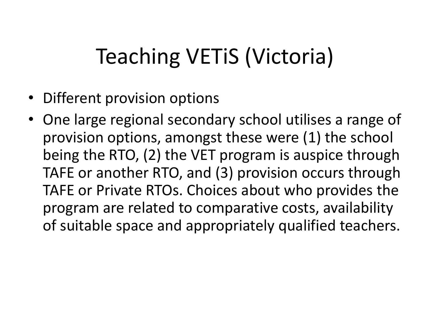- Different provision options
- One large regional secondary school utilises a range of provision options, amongst these were (1) the school being the RTO, (2) the VET program is auspice through TAFE or another RTO, and (3) provision occurs through TAFE or Private RTOs. Choices about who provides the program are related to comparative costs, availability of suitable space and appropriately qualified teachers.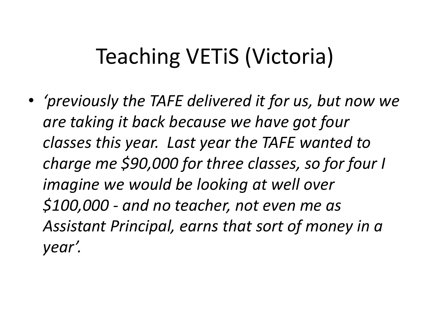• 'previously the TAFE delivered it for us, but now we are taking it back because we have got four classes this year. Last year the TAFE wanted to charge me \$90,000 for three classes, so for four I imagine we would be looking at well over \$100,000 - and no teacher, not even me as Assistant Principal, earns that sort of money in a year'.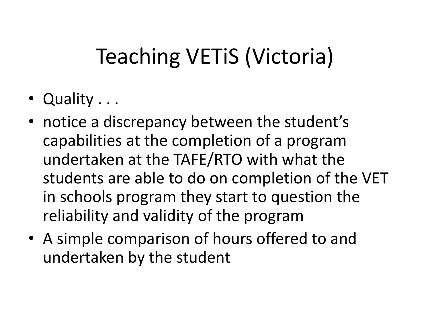- Quality . . .
- notice a discrepancy between the student's capabilities at the completion of a program undertaken at the TAFE/RTO with what the students are able to do on completion of the VET in schools program they start to question the reliability and validity of the program
- A simple comparison of hours offered to and undertaken by the student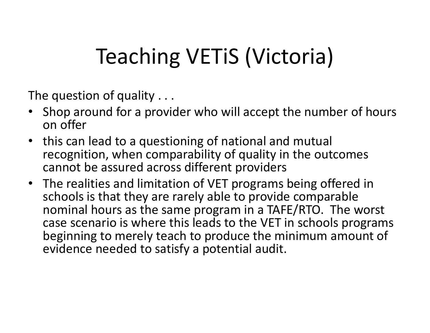The question of quality . . .

- Shop around for a provider who will accept the number of hours on offer
- this can lead to a questioning of national and mutual recognition, when comparability of quality in the outcomes cannot be assured across different providers
- The realities and limitation of VET programs being offered in schools is that they are rarely able to provide comparable nominal hours as the same program in a TAFE/RTO. The worst case scenario is where this leads to the VET in schools programs beginning to merely teach to produce the minimum amount of evidence needed to satisfy a potential audit.